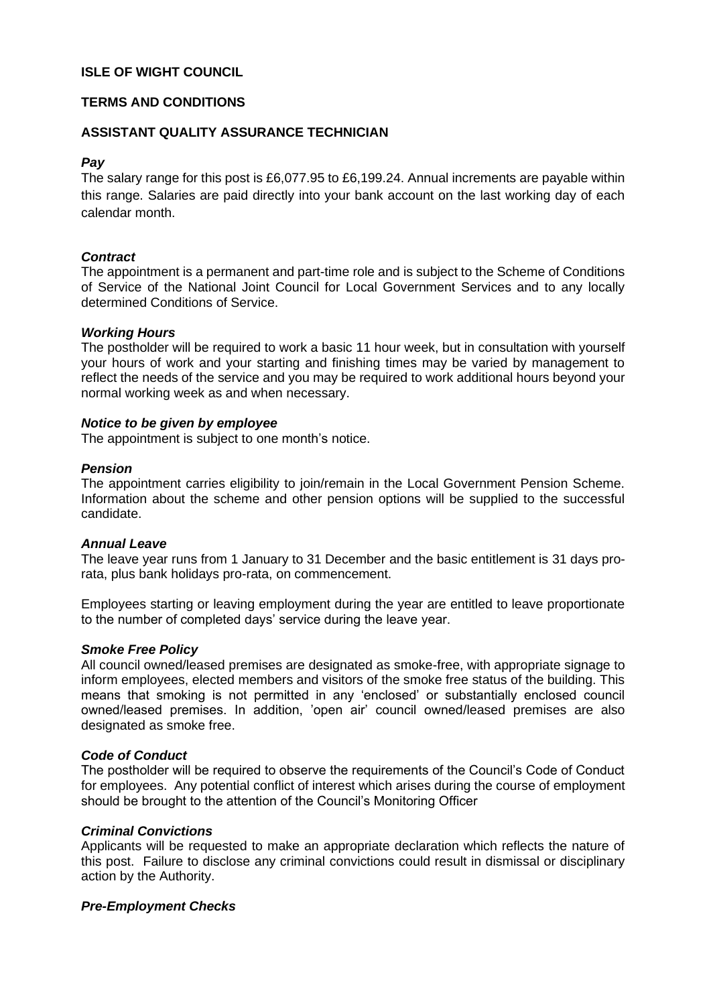## **ISLE OF WIGHT COUNCIL**

### **TERMS AND CONDITIONS**

#### **ASSISTANT QUALITY ASSURANCE TECHNICIAN**

#### *Pay*

The salary range for this post is £6,077.95 to £6,199.24. Annual increments are payable within this range. Salaries are paid directly into your bank account on the last working day of each calendar month.

#### *Contract*

The appointment is a permanent and part-time role and is subject to the Scheme of Conditions of Service of the National Joint Council for Local Government Services and to any locally determined Conditions of Service.

#### *Working Hours*

The postholder will be required to work a basic 11 hour week, but in consultation with yourself your hours of work and your starting and finishing times may be varied by management to reflect the needs of the service and you may be required to work additional hours beyond your normal working week as and when necessary.

### *Notice to be given by employee*

The appointment is subject to one month's notice.

#### *Pension*

The appointment carries eligibility to join/remain in the Local Government Pension Scheme. Information about the scheme and other pension options will be supplied to the successful candidate.

#### *Annual Leave*

The leave year runs from 1 January to 31 December and the basic entitlement is 31 days prorata, plus bank holidays pro-rata, on commencement.

Employees starting or leaving employment during the year are entitled to leave proportionate to the number of completed days' service during the leave year.

#### *Smoke Free Policy*

All council owned/leased premises are designated as smoke-free, with appropriate signage to inform employees, elected members and visitors of the smoke free status of the building. This means that smoking is not permitted in any 'enclosed' or substantially enclosed council owned/leased premises. In addition, 'open air' council owned/leased premises are also designated as smoke free.

### *Code of Conduct*

The postholder will be required to observe the requirements of the Council's Code of Conduct for employees. Any potential conflict of interest which arises during the course of employment should be brought to the attention of the Council's Monitoring Officer

#### *Criminal Convictions*

Applicants will be requested to make an appropriate declaration which reflects the nature of this post. Failure to disclose any criminal convictions could result in dismissal or disciplinary action by the Authority.

#### *Pre-Employment Checks*